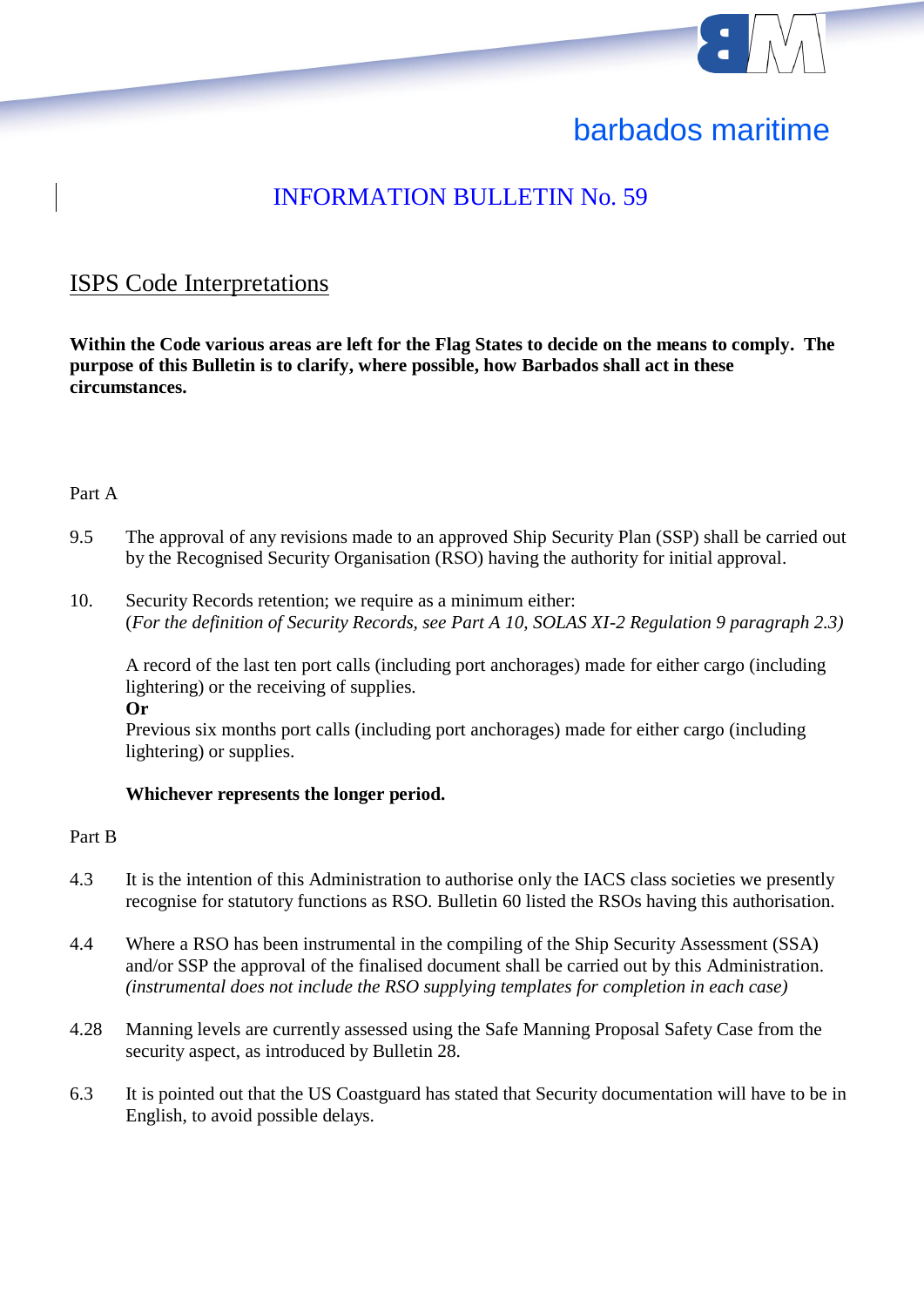

# barbados maritime

# INFORMATION BULLETIN No. 59

### ISPS Code Interpretations

**Within the Code various areas are left for the Flag States to decide on the means to comply. The purpose of this Bulletin is to clarify, where possible, how Barbados shall act in these circumstances.**

#### Part A

- 9.5 The approval of any revisions made to an approved Ship Security Plan (SSP) shall be carried out by the Recognised Security Organisation (RSO) having the authority for initial approval.
- 10. Security Records retention; we require as a minimum either: (*For the definition of Security Records, see Part A 10, SOLAS XI-2 Regulation 9 paragraph 2.3)*

A record of the last ten port calls (including port anchorages) made for either cargo (including lightering) or the receiving of supplies.

**Or**

Previous six months port calls (including port anchorages) made for either cargo (including lightering) or supplies.

#### **Whichever represents the longer period.**

#### Part B

- 4.3 It is the intention of this Administration to authorise only the IACS class societies we presently recognise for statutory functions as RSO. Bulletin 60 listed the RSOs having this authorisation.
- 4.4 Where a RSO has been instrumental in the compiling of the Ship Security Assessment (SSA) and/or SSP the approval of the finalised document shall be carried out by this Administration. *(instrumental does not include the RSO supplying templates for completion in each case)*
- 4.28 Manning levels are currently assessed using the Safe Manning Proposal Safety Case from the security aspect, as introduced by Bulletin 28.
- 6.3 It is pointed out that the US Coastguard has stated that Security documentation will have to be in English, to avoid possible delays.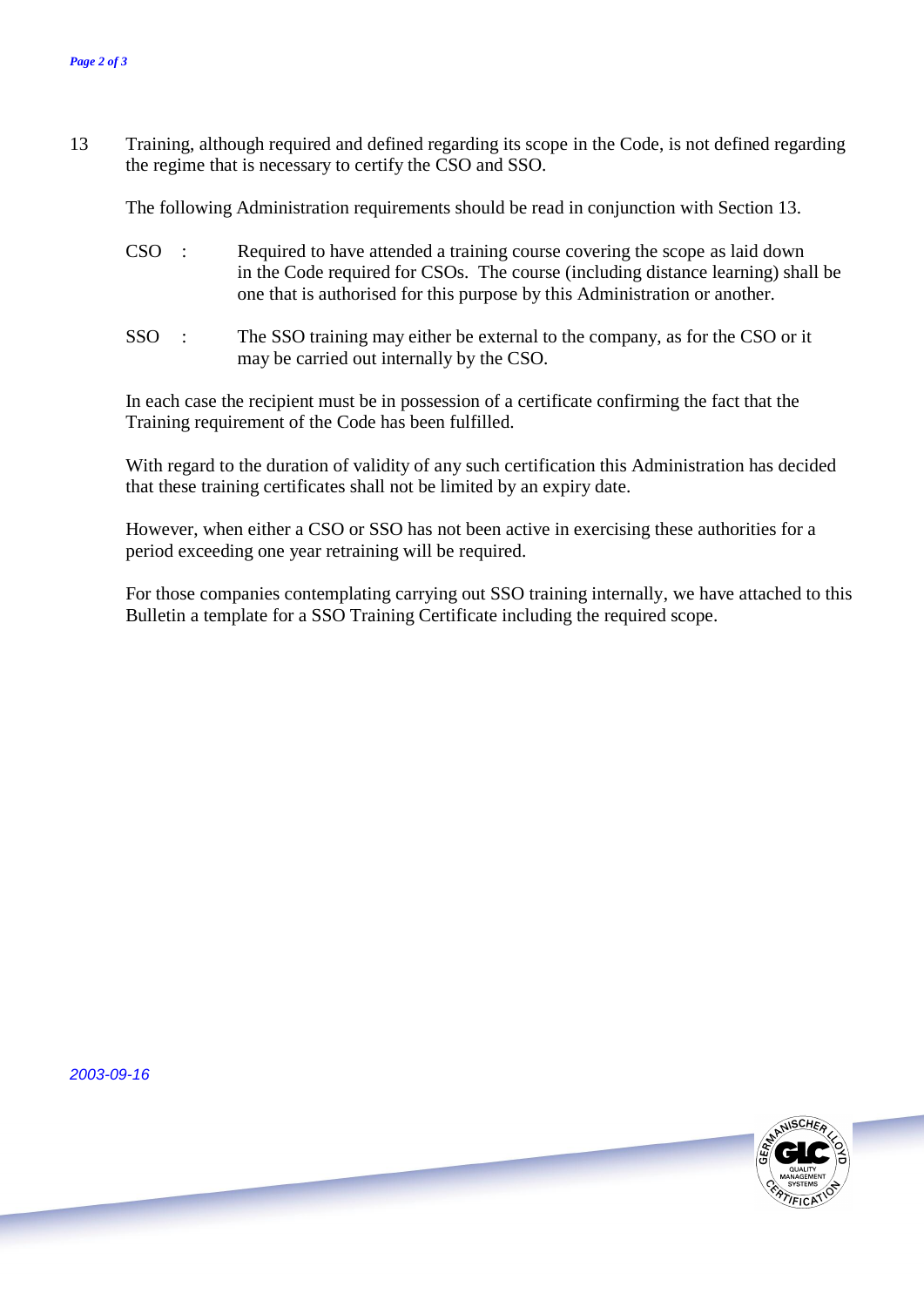13 Training, although required and defined regarding its scope in the Code, is not defined regarding the regime that is necessary to certify the CSO and SSO.

The following Administration requirements should be read in conjunction with Section 13.

- CSO : Required to have attended a training course covering the scope as laid down in the Code required for CSOs. The course (including distance learning) shall be one that is authorised for this purpose by this Administration or another.
- SSO : The SSO training may either be external to the company, as for the CSO or it may be carried out internally by the CSO.

In each case the recipient must be in possession of a certificate confirming the fact that the Training requirement of the Code has been fulfilled.

With regard to the duration of validity of any such certification this Administration has decided that these training certificates shall not be limited by an expiry date.

However, when either a CSO or SSO has not been active in exercising these authorities for a period exceeding one year retraining will be required.

For those companies contemplating carrying out SSO training internally, we have attached to this Bulletin a template for a SSO Training Certificate including the required scope.

*2003-09-16*